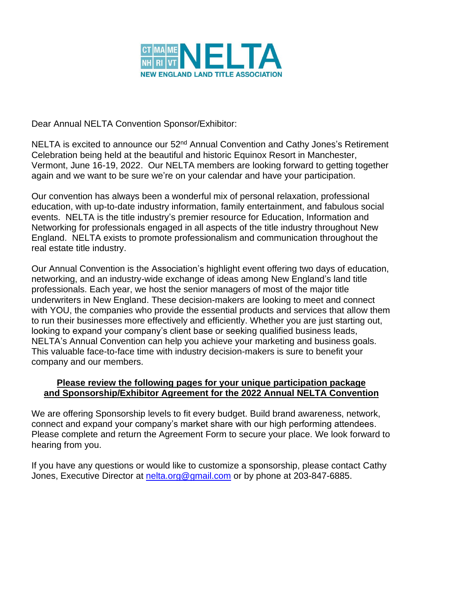

Dear Annual NELTA Convention Sponsor/Exhibitor:

NELTA is excited to announce our 52<sup>nd</sup> Annual Convention and Cathy Jones's Retirement Celebration being held at the beautiful and historic Equinox Resort in Manchester, Vermont, June 16-19, 2022. Our NELTA members are looking forward to getting together again and we want to be sure we're on your calendar and have your participation.

Our convention has always been a wonderful mix of personal relaxation, professional education, with up-to-date industry information, family entertainment, and fabulous social events. NELTA is the title industry's premier resource for Education, Information and Networking for professionals engaged in all aspects of the title industry throughout New England. NELTA exists to promote professionalism and communication throughout the real estate title industry.

Our Annual Convention is the Association's highlight event offering two days of education, networking, and an industry-wide exchange of ideas among New England's land title professionals. Each year, we host the senior managers of most of the major title underwriters in New England. These decision-makers are looking to meet and connect with YOU, the companies who provide the essential products and services that allow them to run their businesses more effectively and efficiently. Whether you are just starting out, looking to expand your company's client base or seeking qualified business leads, NELTA's Annual Convention can help you achieve your marketing and business goals. This valuable face-to-face time with industry decision-makers is sure to benefit your company and our members.

### **Please review the following pages for your unique participation package and Sponsorship/Exhibitor Agreement for the 2022 Annual NELTA Convention**

We are offering Sponsorship levels to fit every budget. Build brand awareness, network, connect and expand your company's market share with our high performing attendees. Please complete and return the Agreement Form to secure your place. We look forward to hearing from you.

If you have any questions or would like to customize a sponsorship, please contact Cathy Jones, Executive Director at [nelta.org@gmail.com](mailto:nelta.org@gmail.com) or by phone at 203-847-6885.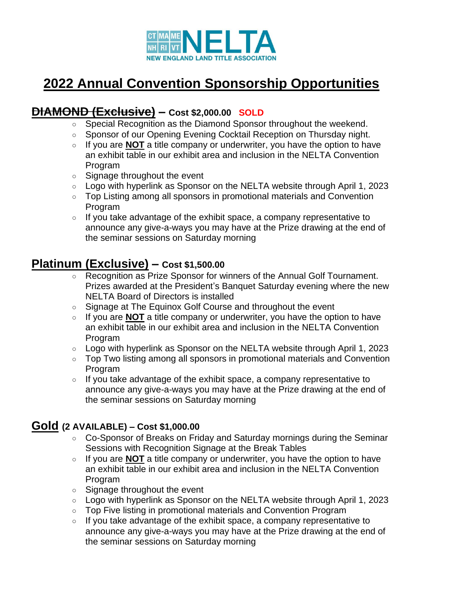

## **2022 Annual Convention Sponsorship Opportunities**

## **DIAMOND (Exclusive) – Cost \$2,000.00 SOLD**

- Special Recognition as the Diamond Sponsor throughout the weekend.
- Sponsor of our Opening Evening Cocktail Reception on Thursday night.
- If you are **NOT** a title company or underwriter, you have the option to have an exhibit table in our exhibit area and inclusion in the NELTA Convention Program
- Signage throughout the event
- Logo with hyperlink as Sponsor on the NELTA website through April 1, 2023
- Top Listing among all sponsors in promotional materials and Convention Program
- If you take advantage of the exhibit space, a company representative to announce any give-a-ways you may have at the Prize drawing at the end of the seminar sessions on Saturday morning

## **Platinum (Exclusive) – Cost \$1,500.00**

- Recognition as Prize Sponsor for winners of the Annual Golf Tournament. Prizes awarded at the President's Banquet Saturday evening where the new NELTA Board of Directors is installed
- Signage at The Equinox Golf Course and throughout the event
- If you are **NOT** a title company or underwriter, you have the option to have an exhibit table in our exhibit area and inclusion in the NELTA Convention Program
- Logo with hyperlink as Sponsor on the NELTA website through April 1, 2023
- Top Two listing among all sponsors in promotional materials and Convention Program
- If you take advantage of the exhibit space, a company representative to announce any give-a-ways you may have at the Prize drawing at the end of the seminar sessions on Saturday morning

## **Gold (2 AVAILABLE) – Cost \$1,000.00**

- Co-Sponsor of Breaks on Friday and Saturday mornings during the Seminar Sessions with Recognition Signage at the Break Tables
- If you are **NOT** a title company or underwriter, you have the option to have an exhibit table in our exhibit area and inclusion in the NELTA Convention Program
- Signage throughout the event
- Logo with hyperlink as Sponsor on the NELTA website through April 1, 2023
- Top Five listing in promotional materials and Convention Program
- If you take advantage of the exhibit space, a company representative to announce any give-a-ways you may have at the Prize drawing at the end of the seminar sessions on Saturday morning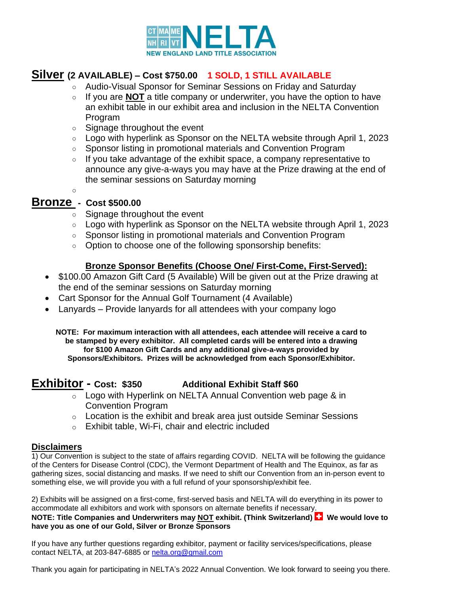

### **Silver (2 AVAILABLE) – Cost \$750.00 1 SOLD, 1 STILL AVAILABLE**

- Audio-Visual Sponsor for Seminar Sessions on Friday and Saturday
- If you are **NOT** a title company or underwriter, you have the option to have an exhibit table in our exhibit area and inclusion in the NELTA Convention Program
- Signage throughout the event
- Logo with hyperlink as Sponsor on the NELTA website through April 1, 2023
- Sponsor listing in promotional materials and Convention Program
- If you take advantage of the exhibit space, a company representative to announce any give-a-ways you may have at the Prize drawing at the end of the seminar sessions on Saturday morning

 $\circ$ 

### **Bronze - Cost \$500.00**

- Signage throughout the event
- Logo with hyperlink as Sponsor on the NELTA website through April 1, 2023
- Sponsor listing in promotional materials and Convention Program
- Option to choose one of the following sponsorship benefits:

### **Bronze Sponsor Benefits (Choose One/ First-Come, First-Served):**

- \$100.00 Amazon Gift Card (5 Available) Will be given out at the Prize drawing at the end of the seminar sessions on Saturday morning
- Cart Sponsor for the Annual Golf Tournament (4 Available)
- Lanyards Provide lanyards for all attendees with your company logo

**NOTE: For maximum interaction with all attendees, each attendee will receive a card to be stamped by every exhibitor. All completed cards will be entered into a drawing for \$100 Amazon Gift Cards and any additional give-a-ways provided by Sponsors/Exhibitors. Prizes will be acknowledged from each Sponsor/Exhibitor.**

### **Exhibitor - Cost: \$350 Additional Exhibit Staff \$60**

- $\overline{\circ}$  Logo with Hyperlink on NELTA Annual Convention web page & in Convention Program
- $\circ$  Location is the exhibit and break area just outside Seminar Sessions
- o Exhibit table, Wi-Fi, chair and electric included

#### **Disclaimers**

1) Our Convention is subject to the state of affairs regarding COVID. NELTA will be following the guidance of the Centers for Disease Control (CDC), the Vermont Department of Health and The Equinox, as far as gathering sizes, social distancing and masks. If we need to shift our Convention from an in-person event to something else, we will provide you with a full refund of your sponsorship/exhibit fee.

2) Exhibits will be assigned on a first-come, first-served basis and NELTA will do everything in its power to accommodate all exhibitors and work with sponsors on alternate benefits if necessary.

**NOTE: Title Companies and Underwriters may NOT exhibit. (Think Switzerland) <b>We would love to have you as one of our Gold, Silver or Bronze Sponsors**

If you have any further questions regarding exhibitor, payment or facility services/specifications, please contact NELTA, at 203-847-6885 or [nelta.org@gmail.com](mailto:nelta.org@gmail.com)

Thank you again for participating in NELTA's 2022 Annual Convention. We look forward to seeing you there.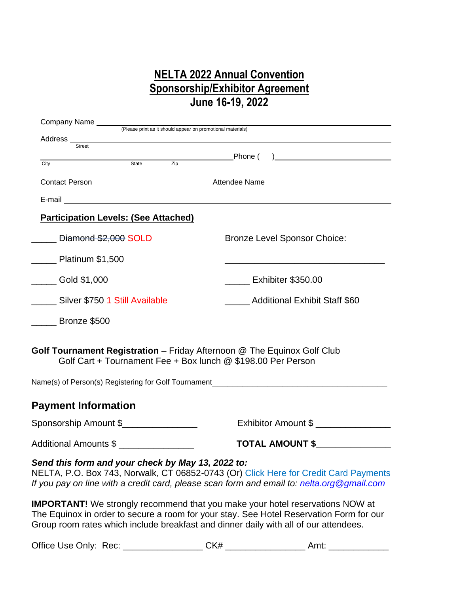## **NELTA 2022 Annual Convention Sponsorship/Exhibitor Agreement June 16-19, 2022**

| Address __                                                                                                                              |                                                                                                                                                                                                                                                                         |
|-----------------------------------------------------------------------------------------------------------------------------------------|-------------------------------------------------------------------------------------------------------------------------------------------------------------------------------------------------------------------------------------------------------------------------|
| <b>Street</b>                                                                                                                           |                                                                                                                                                                                                                                                                         |
| Zip<br>State<br>City                                                                                                                    |                                                                                                                                                                                                                                                                         |
|                                                                                                                                         |                                                                                                                                                                                                                                                                         |
|                                                                                                                                         |                                                                                                                                                                                                                                                                         |
| <b>Participation Levels: (See Attached)</b>                                                                                             |                                                                                                                                                                                                                                                                         |
| Diamond \$2,000 SOLD                                                                                                                    | <b>Bronze Level Sponsor Choice:</b>                                                                                                                                                                                                                                     |
| Platinum \$1,500                                                                                                                        |                                                                                                                                                                                                                                                                         |
| _____ Gold \$1,000                                                                                                                      | Exhibiter \$350.00                                                                                                                                                                                                                                                      |
| Silver \$750 1 Still Available                                                                                                          | Additional Exhibit Staff \$60                                                                                                                                                                                                                                           |
| <b>Example 3500</b>                                                                                                                     |                                                                                                                                                                                                                                                                         |
| Golf Tournament Registration - Friday Afternoon @ The Equinox Golf Club<br>Golf Cart + Tournament Fee + Box lunch @ \$198.00 Per Person |                                                                                                                                                                                                                                                                         |
| Name(s) of Person(s) Registering for Golf Tournament____________________________                                                        |                                                                                                                                                                                                                                                                         |
| <b>Payment Information</b>                                                                                                              |                                                                                                                                                                                                                                                                         |
| Sponsorship Amount \$                                                                                                                   | Exhibitor Amount \$                                                                                                                                                                                                                                                     |
| Additional Amounts \$                                                                                                                   | TOTAL AMOUNT \$                                                                                                                                                                                                                                                         |
| Send this form and your check by May 13, 2022 to:                                                                                       | NELTA, P.O. Box 743, Norwalk, CT 06852-0743 (Or) Click Here for Credit Card Payments<br>If you pay on line with a credit card, please scan form and email to: nelta.org @gmail.com                                                                                      |
|                                                                                                                                         | <b>IMPORTANT!</b> We strongly recommend that you make your hotel reservations NOW at<br>The Equinox in order to secure a room for your stay. See Hotel Reservation Form for our<br>Group room rates which include breakfast and dinner daily with all of our attendees. |

Office Use Only: Rec: \_\_\_\_\_\_\_\_\_\_\_\_\_\_\_\_ CK# \_\_\_\_\_\_\_\_\_\_\_\_\_\_\_\_ Amt: \_\_\_\_\_\_\_\_\_\_\_\_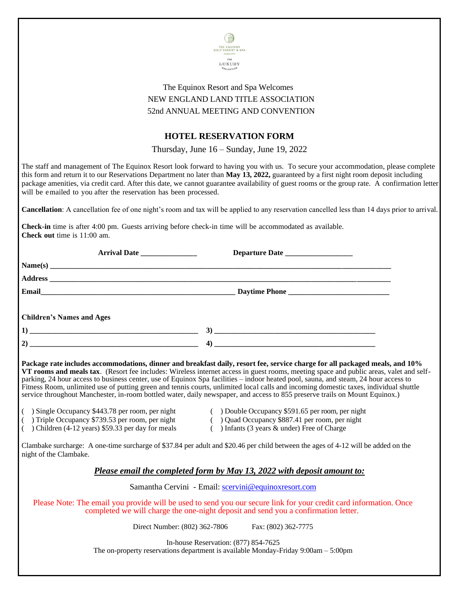

### The Equinox Resort and Spa Welcomes NEW ENGLAND LAND TITLE ASSOCIATION 52nd ANNUAL MEETING AND CONVENTION

### **HOTEL RESERVATION FORM**

Thursday, June 16 – Sunday, June 19, 2022

The staff and management of The Equinox Resort look forward to having you with us. To secure your accommodation, please complete this form and return it to our Reservations Department no later than **May 13, 2022,** guaranteed by a first night room deposit including package amenities, via credit card. After this date, we cannot guarantee availability of guest rooms or the group rate. A confirmation letter will be emailed to you after the reservation has been processed.

**Cancellation**: A cancellation fee of one night's room and tax will be applied to any reservation cancelled less than 14 days prior to arrival.

**Check-in** time is after 4:00 pm. Guests arriving before check-in time will be accommodated as available. **Check out** time is 11:00 am.

| <b>Children's Names and Ages</b> |                                                                                                                                                                                                                                                                                                                                                                                                                                                                                                                                                                                                                                                                                       |  |
|----------------------------------|---------------------------------------------------------------------------------------------------------------------------------------------------------------------------------------------------------------------------------------------------------------------------------------------------------------------------------------------------------------------------------------------------------------------------------------------------------------------------------------------------------------------------------------------------------------------------------------------------------------------------------------------------------------------------------------|--|
|                                  |                                                                                                                                                                                                                                                                                                                                                                                                                                                                                                                                                                                                                                                                                       |  |
|                                  |                                                                                                                                                                                                                                                                                                                                                                                                                                                                                                                                                                                                                                                                                       |  |
|                                  | Package rate includes accommodations, dinner and breakfast daily, resort fee, service charge for all packaged meals, and 10%<br>VT rooms and meals tax. (Resort fee includes: Wireless internet access in guest rooms, meeting space and public areas, valet and self-<br>parking, 24 hour access to business center, use of Equinox Spa facilities – indoor heated pool, sauna, and steam, 24 hour access to<br>Fitness Room, unlimited use of putting green and tennis courts, unlimited local calls and incoming domestic taxes, individual shuttle<br>service throughout Manchester, in-room bottled water, daily newspaper, and access to 855 preserve trails on Mount Equinox.) |  |

- ( ) Single Occupancy \$443.78 per room, per night ( ) Double Occupancy \$591.65 per room, per night
	-
	- ( ) Triple Occupancy \$739.53 per room, per night ( ) Quad Occupancy \$887.41 per room, per night
	- ( ) Children (4-12 years) \$59.33 per day for meals ( ) Infants (3 years & under) Free of Charge

Clambake surcharge: A one-time surcharge of \$37.84 per adult and \$20.46 per child between the ages of 4-12 will be added on the night of the Clambake.

### *Please email the completed form by May 13, 2022 with deposit amount to:*

Samantha Cervini - Email: [scervini@equinoxresort.com](mailto:scervini@equinoxresort.com)

Please Note: The email you provide will be used to send you our secure link for your credit card information. Once completed we will charge the one-night deposit and send you a confirmation letter.

Direct Number: (802) 362-7806 Fax: (802) 362-7775

In-house Reservation: (877) 854-7625 The on-property reservations department is available Monday-Friday 9:00am – 5:00pm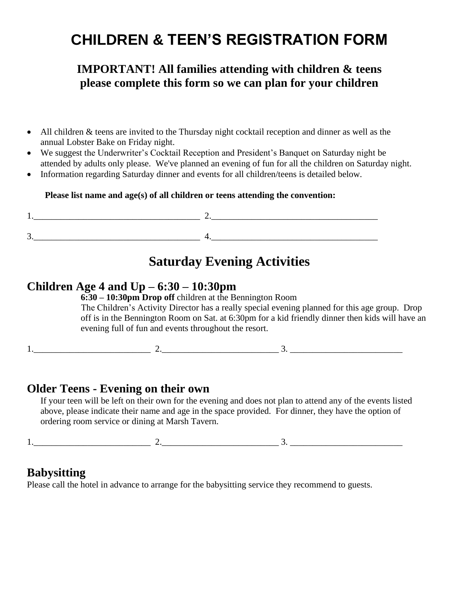# **CHILDREN & TEEN'S REGISTRATION FORM**

## **IMPORTANT! All families attending with children & teens please complete this form so we can plan for your children**

- All children & teens are invited to the Thursday night cocktail reception and dinner as well as the annual Lobster Bake on Friday night.
- We suggest the Underwriter's Cocktail Reception and President's Banquet on Saturday night be attended by adults only please. We've planned an evening of fun for all the children on Saturday night.
- Information regarding Saturday dinner and events for all children/teens is detailed below.

### **Please list name and age(s) of all children or teens attending the convention:**

## **Saturday Evening Activities**

### **Children Age 4 and Up – 6:30 – 10:30pm**

**6:30 – 10:30pm Drop off** children at the Bennington Room The Children's Activity Director has a really special evening planned for this age group. Drop off is in the Bennington Room on Sat. at 6:30pm for a kid friendly dinner then kids will have an evening full of fun and events throughout the resort.

 $1.$   $2.$   $3.$   $3.$ 

### **Older Teens - Evening on their own**

If your teen will be left on their own for the evening and does not plan to attend any of the events listed above, please indicate their name and age in the space provided. For dinner, they have the option of ordering room service or dining at Marsh Tavern.

1.  $2.$  3.

## **Babysitting**

Please call the hotel in advance to arrange for the babysitting service they recommend to guests.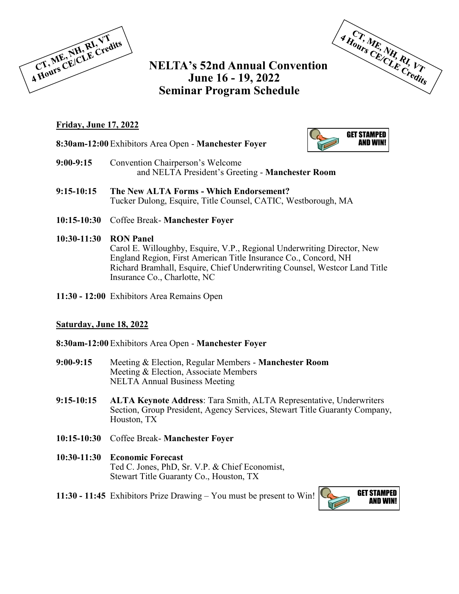

## **NELTA's 52nd Annual Convention June 16 - 19, 2022 Seminar Program Schedule**



### **Friday, June 17, 2022**

**8:30am-12:00** Exhibitors Area Open - **Manchester Foyer**



- **9:00-9:15** Convention Chairperson's Welcome and NELTA President's Greeting - **Manchester Room**
- **9:15-10:15 The New ALTA Forms - Which Endorsement?** Tucker Dulong, Esquire, Title Counsel, CATIC, Westborough, MA
- **10:15-10:30** Coffee Break- **Manchester Foyer**

#### **10:30-11:30 RON Panel**

Carol E. Willoughby, Esquire, V.P., Regional Underwriting Director, New England Region, First American Title Insurance Co., Concord, NH Richard Bramhall, Esquire, Chief Underwriting Counsel, Westcor Land Title Insurance Co., Charlotte, NC

**11:30 - 12:00** Exhibitors Area Remains Open

### **Saturday, June 18, 2022**

#### **8:30am-12:00** Exhibitors Area Open - **Manchester Foyer**

- **9:00-9:15** Meeting & Election, Regular Members **Manchester Room**  Meeting & Election, Associate Members NELTA Annual Business Meeting
- **9:15-10:15 ALTA Keynote Address**: Tara Smith, ALTA Representative, Underwriters Section, Group President, Agency Services, Stewart Title Guaranty Company, Houston, TX
- **10:15-10:30** Coffee Break- **Manchester Foyer**
- **10:30-11:30 Economic Forecast**  Ted C. Jones, PhD, Sr. V.P. & Chief Economist, Stewart Title Guaranty Co., Houston, TX
- **11:30 11:45** Exhibitors Prize Drawing You must be present to Win!